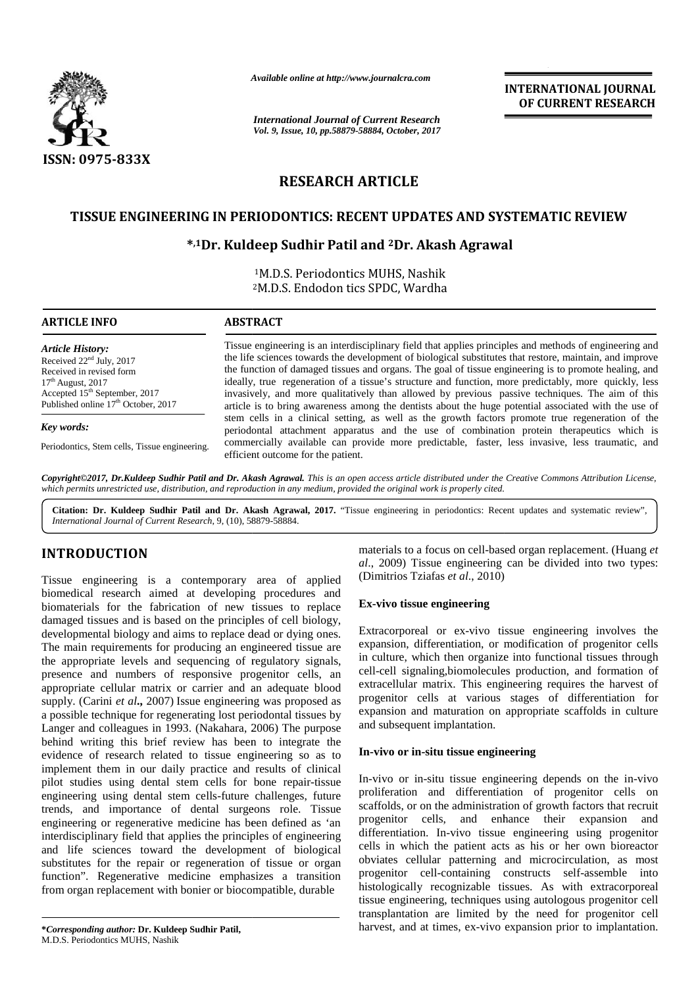

*Available online at http://www.journalcra.com*

*International Journal of Current Research Vol. 9, Issue, 10, pp.58879-58884, October, 2017* **INTERNATIONAL JOURNAL OF CURRENT RESEARCH**

# **RESEARCH ARTICLE**

# **TISSUE ENGINEERING IN PERIODONTICS: RECENT UPDATES AND SYSTEMATIC REVIEW ENGINEERING**

# **\* ,1Dr. Kuldeep Sudhir Patil and <sup>2</sup>Dr. Akash Agrawal \***

<sup>1</sup>M.D.S. Periodontics MUHS, Nashik <sup>2</sup>M.D.S. Endodon tics SPDC, Wardha M.D.S. Endodon

| <b>ARTICLE INFO</b>                                                                                                                                                                                      | <b>ABSTRACT</b>                                                                                                                                                                                                                                                                                                                                                                                                                                                                                                                                                                                                                                                                                                                                                                                                                                                                                                                                                                           |
|----------------------------------------------------------------------------------------------------------------------------------------------------------------------------------------------------------|-------------------------------------------------------------------------------------------------------------------------------------------------------------------------------------------------------------------------------------------------------------------------------------------------------------------------------------------------------------------------------------------------------------------------------------------------------------------------------------------------------------------------------------------------------------------------------------------------------------------------------------------------------------------------------------------------------------------------------------------------------------------------------------------------------------------------------------------------------------------------------------------------------------------------------------------------------------------------------------------|
| <b>Article History:</b><br>Received $22nd$ July, 2017<br>Received in revised form<br>$17th$ August, 2017<br>Accepted 15 <sup>th</sup> September, 2017<br>Published online 17 <sup>th</sup> October, 2017 | Tissue engineering is an interdisciplinary field that applies principles and methods of engineering and<br>the life sciences towards the development of biological substitutes that restore, maintain, and improve<br>the function of damaged tissues and organs. The goal of tissue engineering is to promote healing, and<br>ideally, true regeneration of a tissue's structure and function, more predictably, more quickly, less<br>invasively, and more qualitatively than allowed by previous passive techniques. The aim of this<br>article is to bring awareness among the dentists about the huge potential associated with the use of<br>stem cells in a clinical setting, as well as the growth factors promote true regeneration of the<br>periodontal attachment apparatus and the use of combination protein therapeutics which is<br>commercially available can provide more predictable, faster, less invasive, less traumatic, and<br>efficient outcome for the patient. |
| Key words:                                                                                                                                                                                               |                                                                                                                                                                                                                                                                                                                                                                                                                                                                                                                                                                                                                                                                                                                                                                                                                                                                                                                                                                                           |
| Periodontics, Stem cells, Tissue engineering.                                                                                                                                                            |                                                                                                                                                                                                                                                                                                                                                                                                                                                                                                                                                                                                                                                                                                                                                                                                                                                                                                                                                                                           |

**Copyright©2017, Dr.Kuldeep Sudhir Patil and Dr. Akash Agrawal.** This is an open access article distributed under the Creative Commons Attribution License,<br>which permits unrestricted use, distribution, and reproduction in *which permits unrestricted use, distribution, and reproduction in any medium, provided the original work is properly cited.*

**Citation: Dr. Kuldeep Sudhir Patil and Dr. Akash Agrawal, 2017.** "Tissue engineering in periodontics: Recent updates and systematic review", *International Journal of Current Research*, 9, (10), 58879-58884.

# **INTRODUCTION INTRODUCTION**

Tissue engineering is a contemporary area of applied biomedical research aimed at developing procedures and biomaterials for the fabrication of new tissues to replace damaged tissues and is based on the principles of cell biology, developmental biology and aims to replace dead or dying ones. The main requirements for producing an engineered tissue are the appropriate levels and sequencing of regulatory signals, presence and numbers of responsive progenitor cells, an appropriate cellular matrix or carrier and an adequate blood supply. (Carini *et al.*, 2007) Issue engineering was proposed as P<sup>ro</sup> a possible technique for regenerating lost periodontal tissues by a possible technique for regenerating lost periodontal tissues by expandence can be colleagues in 1993. (Nakahara, 2006) The purpose and behind writing this brief review has been to integrate the behind writing this brief review has been to integrate the evidence of research related to tissue engineering so as to **In-vi** implement them in our daily practice and results of clinical pilot studies using dental stem cells for bone repair-tissue engineering using dental stem cells-future challenges, future implement them in our daily practice and results of clinical<br>pilot studies using dental stem cells for bone repair-tissue<br>engineering using dental stem cells-future challenges, future<br>prol<br>trends, and importance of dental engineering or regenerative medicine has been defined as 'an  $\frac{prog}{}'$ interdisciplinary field that applies the principles of engineering different and life sciences toward the development of biological and life sciences toward the development of biological cells<br>substitutes for the repair or regeneration of tissue or organ function". Regenerative medicine emphasizes a transition proge from organ replacement with bonier or biocompatible, durable his Tissue engineering is a contemporary area of applied (Dim<br>biomedical research aimed at developing procedures and<br>biomaterials for the fabrication of new tissues to replace<br>damaged tissues and is based on the principles of **EXERCISE TRANSFORMATIONAL DIFFERENCE INTERNATIONAL DIFFERENCE INTERNATIONAL DIFFERENCE INTERNATIONAL DIFFERENCE INTERNATIONAL DIFFERENCE INTERNATIONAL DIFFERENCE INTERNATIONAL DIFFERENCE INTERNATIONAL PROPERTY INTERNATIO** earch aimed at developing procedures and<br>
arch the fabrication of new tissues to replace<br>
iology,<br>
mad is based on the principles of cell biology,<br>
Extracorpore<br>
rements for producing an engineered tissue are<br>
expansion, d

materials to a focus on cell-based organ replacement. (Huang *et al*., 2009) Tissue engineering can be divided into two types: (Dimitrios Tziafas *et al*., 2010)

## **Ex-vivo tissue engineering**

Extracorporeal or ex-vivo tissue engineering involves the expansion, differentiation, or modification of progenitor cells in culture, which then organize into functional tissues through cell-cell signaling,biomolecules production, and formation of extracellular matrix. This engineering requires the harvest of progenitor cells at various stages of differentiation for expansion and maturation on appropriate scaffolds in culture and subsequent implantation.

### **In-vivo or in-situ tissue engineering**

In-vivo or in-situ tissue engineering depends on the in-vivo proliferation and differentiation of progenitor cells on scaffolds, or on the administration of growth factors that recruit progenitor cells, and enhance their expansion and differentiation. In-vivo tissue engineering using progenitor cells in which the patient acts as his or her own bioreactor obviates cellular patterning and microcirculation, as most progenitor cell-containing constructs self-assemble into histologically recognizable tissues. As with extracorporeal tissue engineering, techniques using autologous progenitor cell transplantation are limited by the need for progenitor cell harvest, and at times, ex-vivo expansion prior to implantation.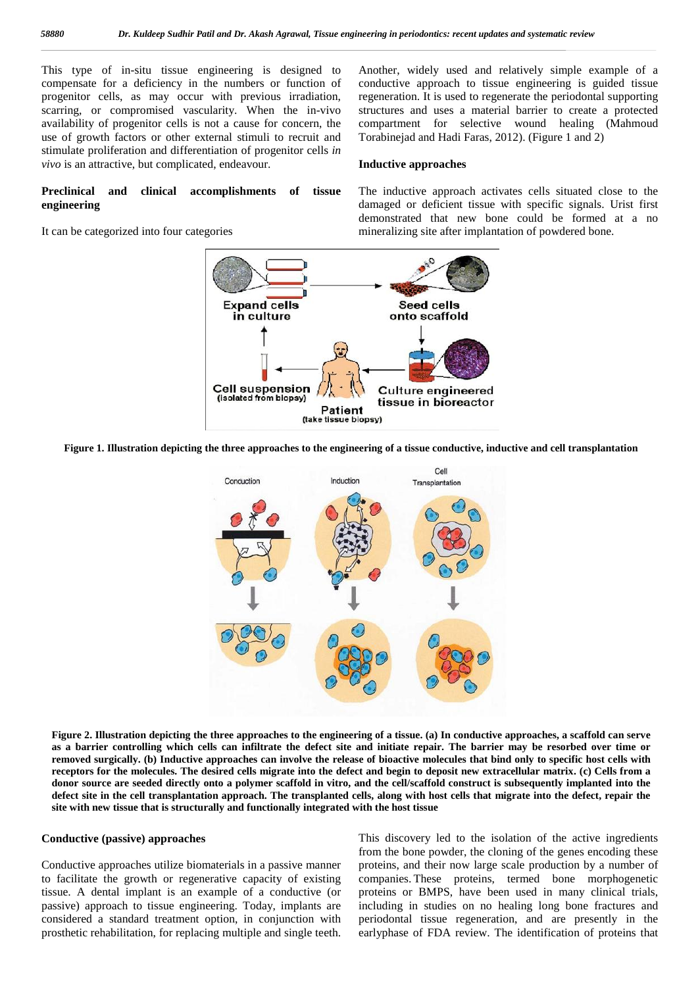This type of in-situ tissue engineering is designed to compensate for a deficiency in the numbers or function of progenitor cells, as may occur with previous irradiation, scarring, or compromised vascularity. When the in-vivo availability of progenitor cells is not a cause for concern, the use of growth factors or other external stimuli to recruit and stimulate proliferation and differentiation of progenitor cells *in vivo* is an attractive, but complicated, endeavour.

**Preclinical and clinical accomplishments of tissue engineering**

Another, widely used and relatively simple example of a conductive approach to tissue engineering is guided tissue regeneration. It is used to regenerate the periodontal supporting structures and uses a material barrier to create a protected compartment for selective wound healing (Mahmoud Torabinejad and Hadi Faras, 2012). (Figure 1 and 2)

#### **Inductive approaches**

# It can be categorized into four categories

The inductive approach activates cells situated close to the damaged or deficient tissue with specific signals. Urist first demonstrated that new bone could be formed at a no mineralizing site after implantation of powdered bone.



**Figure 1. Illustration depicting the three approaches to the engineering of a tissue conductive, inductive and cell transplantation**



**Figure 2. Illustration depicting the three approaches to the engineering of a tissue. (a) In conductive approaches, a scaffold can serve as a barrier controlling which cells can infiltrate the defect site and initiate repair. The barrier may be resorbed over time or removed surgically. (b) Inductive approaches can involve the release of bioactive molecules that bind only to specific host cells with receptors for the molecules. The desired cells migrate into the defect and begin to deposit new extracellular matrix. (c) Cells from a donor source are seeded directly onto a polymer scaffold in vitro, and the cell/scaffold construct is subsequently implanted into the defect site in the cell transplantation approach. The transplanted cells, along with host cells that migrate into the defect, repair the site with new tissue that is structurally and functionally integrated with the host tissue**

#### **Conductive (passive) approaches**

Conductive approaches utilize biomaterials in a passive manner to facilitate the growth or regenerative capacity of existing tissue. A dental implant is an example of a conductive (or passive) approach to tissue engineering. Today, implants are considered a standard treatment option, in conjunction with prosthetic rehabilitation, for replacing multiple and single teeth. This discovery led to the isolation of the active ingredients from the bone powder, the cloning of the genes encoding these proteins, and their now large scale production by a number of companies. These proteins, termed bone morphogenetic proteins or BMPS, have been used in many clinical trials, including in studies on no healing long bone fractures and periodontal tissue regeneration, and are presently in the earlyphase of FDA review. The identification of proteins that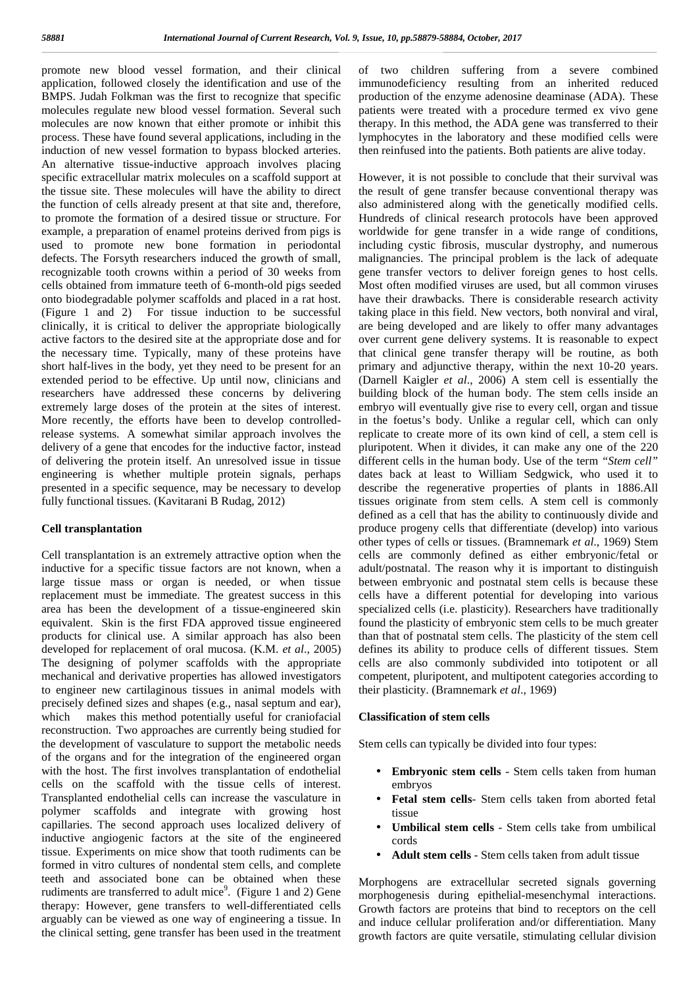promote new blood vessel formation, and their clinical application, followed closely the identification and use of the BMPS. Judah Folkman was the first to recognize that specific molecules regulate new blood vessel formation. Several such molecules are now known that either promote or inhibit this process. These have found several applications, including in the induction of new vessel formation to bypass blocked arteries. An alternative tissue-inductive approach involves placing specific extracellular matrix molecules on a scaffold support at the tissue site. These molecules will have the ability to direct the function of cells already present at that site and, therefore, to promote the formation of a desired tissue or structure. For example, a preparation of enamel proteins derived from pigs is used to promote new bone formation in periodontal defects. The Forsyth researchers induced the growth of small, recognizable tooth crowns within a period of 30 weeks from cells obtained from immature teeth of 6-month-old pigs seeded onto biodegradable polymer scaffolds and placed in a rat host. (Figure 1 and 2) For tissue induction to be successful clinically, it is critical to deliver the appropriate biologically active factors to the desired site at the appropriate dose and for the necessary time. Typically, many of these proteins have short half-lives in the body, yet they need to be present for an extended period to be effective. Up until now, clinicians and researchers have addressed these concerns by delivering extremely large doses of the protein at the sites of interest. More recently, the efforts have been to develop controlledrelease systems. A somewhat similar approach involves the delivery of a gene that encodes for the inductive factor, instead of delivering the protein itself. An unresolved issue in tissue engineering is whether multiple protein signals, perhaps presented in a specific sequence, may be necessary to develop fully functional tissues. (Kavitarani B Rudag, 2012)

#### **Cell transplantation**

Cell transplantation is an extremely attractive option when the inductive for a specific tissue factors are not known, when a large tissue mass or organ is needed, or when tissue replacement must be immediate. The greatest success in this area has been the development of a tissue-engineered skin equivalent. Skin is the first FDA approved tissue engineered products for clinical use. A similar approach has also been developed for replacement of oral mucosa. (K.M. *et al*., 2005) The designing of polymer scaffolds with the appropriate mechanical and derivative properties has allowed investigators to engineer new cartilaginous tissues in animal models with precisely defined sizes and shapes (e.g., nasal septum and ear), which makes this method potentially useful for craniofacial reconstruction. Two approaches are currently being studied for the development of vasculature to support the metabolic needs of the organs and for the integration of the engineered organ with the host. The first involves transplantation of endothelial cells on the scaffold with the tissue cells of interest. Transplanted endothelial cells can increase the vasculature in polymer scaffolds and integrate with growing host capillaries. The second approach uses localized delivery of inductive angiogenic factors at the site of the engineered tissue. Experiments on mice show that tooth rudiments can be formed in vitro cultures of nondental stem cells, and complete teeth and associated bone can be obtained when these rudiments are transferred to adult mice<sup>9</sup>. (Figure 1 and 2) Gene  $\frac{1}{2}$ therapy: However, gene transfers to well-differentiated cells arguably can be viewed as one way of engineering a tissue. In the clinical setting, gene transfer has been used in the treatment

of two children suffering from a severe combined immunodeficiency resulting from an inherited reduced production of the enzyme adenosine deaminase (ADA). These patients were treated with a procedure termed ex vivo gene therapy. In this method, the ADA gene was transferred to their lymphocytes in the laboratory and these modified cells were then reinfused into the patients. Both patients are alive today.

However, it is not possible to conclude that their survival was the result of gene transfer because conventional therapy was also administered along with the genetically modified cells. Hundreds of clinical research protocols have been approved worldwide for gene transfer in a wide range of conditions, including cystic fibrosis, muscular dystrophy, and numerous malignancies. The principal problem is the lack of adequate gene transfer vectors to deliver foreign genes to host cells. Most often modified viruses are used, but all common viruses have their drawbacks. There is considerable research activity taking place in this field. New vectors, both nonviral and viral, are being developed and are likely to offer many advantages over current gene delivery systems. It is reasonable to expect that clinical gene transfer therapy will be routine, as both primary and adjunctive therapy, within the next 10-20 years. (Darnell Kaigler *et al*., 2006) A stem cell is essentially the building block of the human body. The stem cells inside an embryo will eventually give rise to every cell, organ and tissue in the foetus's body. Unlike a regular cell, which can only replicate to create more of its own kind of cell, a stem cell is pluripotent. When it divides, it can make any one of the 220 different cells in the human body. Use of the term *"Stem cell"* dates back at least to William Sedgwick, who used it to describe the regenerative properties of plants in 1886.All tissues originate from stem cells. A stem cell is commonly defined as a cell that has the ability to continuously divide and produce progeny cells that differentiate (develop) into various other types of cells or tissues. (Bramnemark *et al*., 1969) Stem cells are commonly defined as either embryonic/fetal or adult/postnatal. The reason why it is important to distinguish between embryonic and postnatal stem cells is because these cells have a different potential for developing into various specialized cells (i.e. plasticity). Researchers have traditionally found the plasticity of embryonic stem cells to be much greater than that of postnatal stem cells. The plasticity of the stem cell defines its ability to produce cells of different tissues. Stem cells are also commonly subdivided into totipotent or all competent, pluripotent, and multipotent categories according to their plasticity. (Bramnemark *et al*., 1969)

#### **Classification of stem cells**

Stem cells can typically be divided into four types:

- **Embryonic stem cells** Stem cells taken from human embryos
- **Fetal stem cells** Stem cells taken from aborted fetal tissue
- **Umbilical stem cells** Stem cells take from umbilical cords
- Adult stem cells Stem cells taken from adult tissue

Morphogens are extracellular secreted signals governing morphogenesis during epithelial-mesenchymal interactions. Growth factors are proteins that bind to receptors on the cell and induce cellular proliferation and/or differentiation. Many growth factors are quite versatile, stimulating cellular division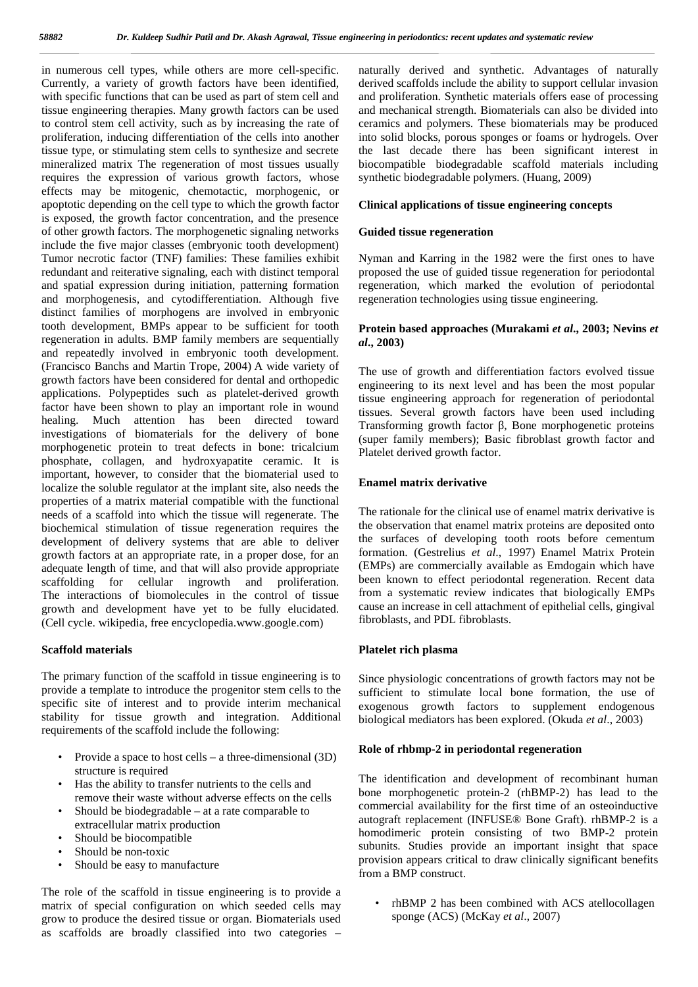in numerous cell types, while others are more cell-specific. Currently, a variety of growth factors have been identified, with specific functions that can be used as part of stem cell and tissue engineering therapies. Many growth factors can be used to control stem cell activity, such as by increasing the rate of proliferation, inducing differentiation of the cells into another tissue type, or stimulating stem cells to synthesize and secrete mineralized matrix The regeneration of most tissues usually requires the expression of various growth factors, whose effects may be mitogenic, chemotactic, morphogenic, or apoptotic depending on the cell type to which the growth factor is exposed, the growth factor concentration, and the presence of other growth factors. The morphogenetic signaling networks include the five major classes (embryonic tooth development) Tumor necrotic factor (TNF) families: These families exhibit redundant and reiterative signaling, each with distinct temporal and spatial expression during initiation, patterning formation and morphogenesis, and cytodifferentiation. Although five distinct families of morphogens are involved in embryonic tooth development, BMPs appear to be sufficient for tooth regeneration in adults. BMP family members are sequentially and repeatedly involved in embryonic tooth development. (Francisco Banchs and Martin Trope, 2004) A wide variety of growth factors have been considered for dental and orthopedic applications. Polypeptides such as platelet-derived growth factor have been shown to play an important role in wound healing. Much attention has been directed toward investigations of biomaterials for the delivery of bone morphogenetic protein to treat defects in bone: tricalcium phosphate, collagen, and hydroxyapatite ceramic. It is important, however, to consider that the biomaterial used to localize the soluble regulator at the implant site, also needs the properties of a matrix material compatible with the functional needs of a scaffold into which the tissue will regenerate. The biochemical stimulation of tissue regeneration requires the development of delivery systems that are able to deliver growth factors at an appropriate rate, in a proper dose, for an adequate length of time, and that will also provide appropriate scaffolding for cellular ingrowth and proliferation. The interactions of biomolecules in the control of tissue growth and development have yet to be fully elucidated. (Cell cycle. wikipedia, free encyclopedia.www.google.com)

#### **Scaffold materials**

The primary function of the scaffold in tissue engineering is to provide a template to introduce the progenitor stem cells to the specific site of interest and to provide interim mechanical stability for tissue growth and integration. Additional requirements of the scaffold include the following:

- Provide a space to host cells a three-dimensional (3D) structure is required
- Has the ability to transfer nutrients to the cells and remove their waste without adverse effects on the cells
- Should be biodegradable  $-$  at a rate comparable to extracellular matrix production
- Should be biocompatible
- Should be non-toxic
- Should be easy to manufacture

The role of the scaffold in tissue engineering is to provide a matrix of special configuration on which seeded cells may grow to produce the desired tissue or organ. Biomaterials used as scaffolds are broadly classified into two categories –

naturally derived and synthetic. Advantages of naturally derived scaffolds include the ability to support cellular invasion and proliferation. Synthetic materials offers ease of processing and mechanical strength. Biomaterials can also be divided into ceramics and polymers. These biomaterials may be produced into solid blocks, porous sponges or foams or hydrogels. Over the last decade there has been significant interest in biocompatible biodegradable scaffold materials including synthetic biodegradable polymers. (Huang, 2009)

#### **Clinical applications of tissue engineering concepts**

#### **Guided tissue regeneration**

Nyman and Karring in the 1982 were the first ones to have proposed the use of guided tissue regeneration for periodontal regeneration, which marked the evolution of periodontal regeneration technologies using tissue engineering.

#### **Protein based approaches (Murakami** *et al***., 2003; Nevins** *et al***., 2003)**

The use of growth and differentiation factors evolved tissue engineering to its next level and has been the most popular tissue engineering approach for regeneration of periodontal tissues. Several growth factors have been used including Transforming growth factor, Bone morphogenetic proteins (super family members); Basic fibroblast growth factor and Platelet derived growth factor.

#### **Enamel matrix derivative**

The rationale for the clinical use of enamel matrix derivative is the observation that enamel matrix proteins are deposited onto the surfaces of developing tooth roots before cementum formation. (Gestrelius *et al*., 1997) Enamel Matrix Protein (EMPs) are commercially available as Emdogain which have been known to effect periodontal regeneration. Recent data from a systematic review indicates that biologically EMPs cause an increase in cell attachment of epithelial cells, gingival fibroblasts, and PDL fibroblasts.

#### **Platelet rich plasma**

Since physiologic concentrations of growth factors may not be sufficient to stimulate local bone formation, the use of exogenous growth factors to supplement endogenous biological mediators has been explored. (Okuda *et al*., 2003)

#### **Role of rhbmp-2 in periodontal regeneration**

The identification and development of recombinant human bone morphogenetic protein-2 (rhBMP-2) has lead to the commercial availability for the first time of an osteoinductive autograft replacement (INFUSE® Bone Graft). rhBMP-2 is a homodimeric protein consisting of two BMP-2 protein subunits. Studies provide an important insight that space provision appears critical to draw clinically significant benefits from a BMP construct.

• rhBMP 2 has been combined with ACS atellocollagen sponge (ACS) (McKay *et al*., 2007)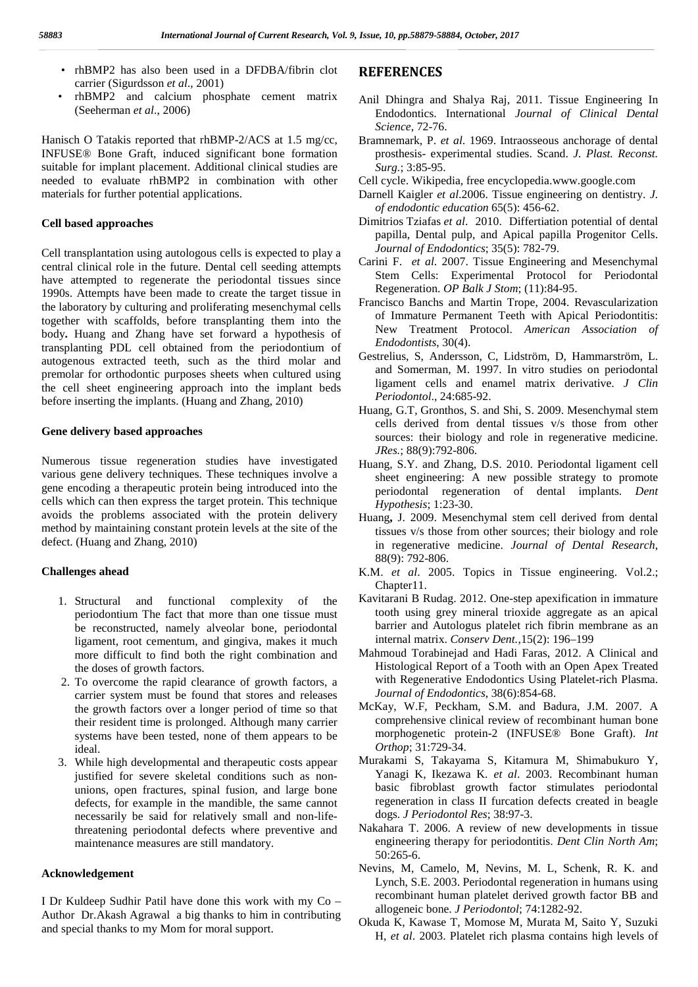- rhBMP2 has also been used in a DFDBA/fibrin clot carrier (Sigurdsson *et al*., 2001)
- rhBMP2 and calcium phosphate cement matrix (Seeherman *et al*., 2006)

Hanisch O Tatakis reported that rhBMP-2/ACS at 1.5 mg/cc, INFUSE® Bone Graft, induced significant bone formation suitable for implant placement. Additional clinical studies are needed to evaluate rhBMP2 in combination with other materials for further potential applications.

## **Cell based approaches**

Cell transplantation using autologous cells is expected to play a central clinical role in the future. Dental cell seeding attempts have attempted to regenerate the periodontal tissues since 1990s. Attempts have been made to create the target tissue in the laboratory by culturing and proliferating mesenchymal cells together with scaffolds, before transplanting them into the body**.** Huang and Zhang have set forward a hypothesis of transplanting PDL cell obtained from the periodontium of autogenous extracted teeth, such as the third molar and premolar for orthodontic purposes sheets when cultured using the cell sheet engineering approach into the implant beds before inserting the implants. (Huang and Zhang, 2010)

### **Gene delivery based approaches**

Numerous tissue regeneration studies have investigated various gene delivery techniques. These techniques involve a gene encoding a therapeutic protein being introduced into the cells which can then express the target protein. This technique avoids the problems associated with the protein delivery method by maintaining constant protein levels at the site of the defect. (Huang and Zhang, 2010)

#### **Challenges ahead**

- 1. Structural and functional complexity of the periodontium The fact that more than one tissue must be reconstructed, namely alveolar bone, periodontal ligament, root cementum, and gingiva, makes it much more difficult to find both the right combination and the doses of growth factors.
- 2. To overcome the rapid clearance of growth factors, a carrier system must be found that stores and releases the growth factors over a longer period of time so that their resident time is prolonged. Although many carrier systems have been tested, none of them appears to be ideal.
- 3. While high developmental and therapeutic costs appear justified for severe skeletal conditions such as non unions, open fractures, spinal fusion, and large bone defects, for example in the mandible, the same cannot necessarily be said for relatively small and non-lifethreatening periodontal defects where preventive and maintenance measures are still mandatory.

#### **Acknowledgement**

I Dr Kuldeep Sudhir Patil have done this work with my Co – Author Dr.Akash Agrawal a big thanks to him in contributing and special thanks to my Mom for moral support.

## **REFERENCES**

- Anil Dhingra and Shalya Raj, 2011. Tissue Engineering In Endodontics. International *Journal of Clinical Dental Science*, 72-76.
- Bramnemark, P. *et al*. 1969. Intraosseous anchorage of dental prosthesis- experimental studies. Scand. *J. Plast. Reconst. Surg.*; 3:85-95.
- Cell cycle. Wikipedia, free encyclopedia.www.google.com
- Darnell Kaigler *et al*.2006. Tissue engineering on dentistry. *J. of endodontic education* 65(5): 456-62.
- Dimitrios Tziafas *et al*. 2010. Differtiation potential of dental papilla, Dental pulp, and Apical papilla Progenitor Cells. *Journal of Endodontics*; 35(5): 782-79.
- Carini F. *et al*. 2007. Tissue Engineering and Mesenchymal Stem Cells: Experimental Protocol for Periodontal Regeneration. *OP Balk J Stom*; (11):84-95.
- Francisco Banchs and Martin Trope, 2004. Revascularization of Immature Permanent Teeth with Apical Periodontitis: New Treatment Protocol. *American Association of Endodontists*, 30(4).
- Gestrelius, S, Andersson, C, Lidström, D, Hammarström, L. and Somerman, M. 1997. In vitro studies on periodontal ligament cells and enamel matrix derivative. *J Clin Periodontol*., 24:685-92.
- Huang, G.T, Gronthos, S. and Shi, S. 2009. Mesenchymal stem cells derived from dental tissues v/s those from other sources: their biology and role in regenerative medicine*. JRes.*; 88(9):792-806.
- Huang, S.Y. and Zhang, D.S. 2010. Periodontal ligament cell sheet engineering: A new possible strategy to promote periodontal regeneration of dental implants. *Dent Hypothesis*; 1:23-30.
- Huang**,** J. 2009. Mesenchymal stem cell derived from dental tissues v/s those from other sources; their biology and role in regenerative medicine. *Journal of Dental Research*, 88(9): 792-806.
- K.M. *et al*. 2005. Topics in Tissue engineering. Vol.2.; Chapter11.
- Kavitarani B Rudag. 2012. One-step apexification in immature tooth using grey mineral trioxide aggregate as an apical barrier and Autologus platelet rich fibrin membrane as an internal matrix. *Conserv Dent.*,15(2): 196–199
- Mahmoud Torabinejad and Hadi Faras, 2012. A Clinical and Histological Report of a Tooth with an Open Apex Treated with Regenerative Endodontics Using Platelet-rich Plasma. *Journal of Endodontics*, 38(6):854-68.
- McKay, W.F, Peckham, S.M. and Badura, J.M. 2007. A comprehensive clinical review of recombinant human bone morphogenetic protein-2 (INFUSE® Bone Graft). *Int Orthop*; 31:729-34.
- Murakami S, Takayama S, Kitamura M, Shimabukuro Y, Yanagi K, Ikezawa K. *et al*. 2003. Recombinant human basic fibroblast growth factor stimulates periodontal regeneration in class II furcation defects created in beagle dogs. *J Periodontol Res*; 38:97-3.
- Nakahara T. 2006. A review of new developments in tissue engineering therapy for periodontitis. *Dent Clin North Am*; 50:265-6.
- Nevins, M, Camelo, M, Nevins, M. L, Schenk, R. K. and Lynch, S.E. 2003. Periodontal regeneration in humans using recombinant human platelet derived growth factor BB and allogeneic bone. *J Periodontol*; 74:1282-92.
- Okuda K, Kawase T, Momose M, Murata M, Saito Y, Suzuki H, *et al*. 2003. Platelet rich plasma contains high levels of